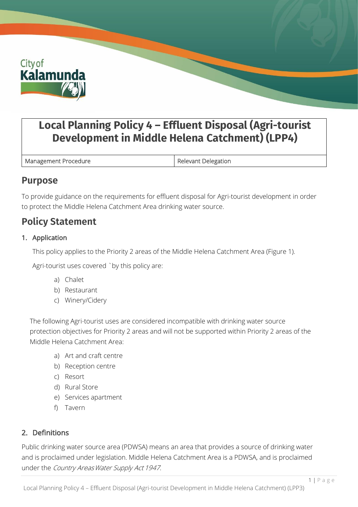

# **Local Planning Policy 4 – Effluent Disposal (Agri-tourist Development in Middle Helena Catchment) (LPP4)**

Management Procedure **Relevant Delegation** 

## **Purpose**

To provide guidance on the requirements for effluent disposal for Agri-tourist development in order to protect the Middle Helena Catchment Area drinking water source.

## **Policy Statement**

## 1. Application

This policy applies to the Priority 2 areas of the Middle Helena Catchment Area (Figure 1).

Agri-tourist uses covered `by this policy are:

- a) Chalet
- b) Restaurant
- c) Winery/Cidery

The following Agri-tourist uses are considered incompatible with drinking water source protection objectives for Priority 2 areas and will not be supported within Priority 2 areas of the Middle Helena Catchment Area:

- a) Art and craft centre
- b) Reception centre
- c) Resort
- d) Rural Store
- e) Services apartment
- f) Tavern

## 2. Definitions

Public drinking water source area (PDWSA) means an area that provides a source of drinking water and is proclaimed under legislation. Middle Helena Catchment Area is a PDWSA, and is proclaimed under the Country Areas Water Supply Act 1947.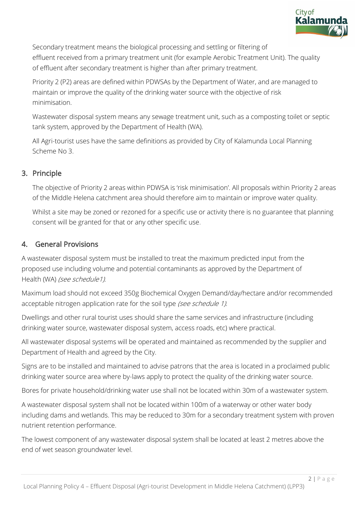

Secondary treatment means the biological processing and settling or filtering of effluent received from a primary treatment unit (for example Aerobic Treatment Unit). The quality of effluent after secondary treatment is higher than after primary treatment.

Priority 2 (P2) areas are defined within PDWSAs by the Department of Water, and are managed to maintain or improve the quality of the drinking water source with the objective of risk minimisation.

Wastewater disposal system means any sewage treatment unit, such as a composting toilet or septic tank system, approved by the Department of Health (WA).

All Agri-tourist uses have the same definitions as provided by City of Kalamunda Local Planning Scheme No 3.

#### 3. Principle

The objective of Priority 2 areas within PDWSA is 'risk minimisation'. All proposals within Priority 2 areas of the Middle Helena catchment area should therefore aim to maintain or improve water quality.

Whilst a site may be zoned or rezoned for a specific use or activity there is no guarantee that planning consent will be granted for that or any other specific use.

#### 4. General Provisions

A wastewater disposal system must be installed to treat the maximum predicted input from the proposed use including volume and potential contaminants as approved by the Department of Health (WA) (see schedule1).

Maximum load should not exceed 350g Biochemical Oxygen Demand/day/hectare and/or recommended acceptable nitrogen application rate for the soil type (see schedule 1).

Dwellings and other rural tourist uses should share the same services and infrastructure (including drinking water source, wastewater disposal system, access roads, etc) where practical.

All wastewater disposal systems will be operated and maintained as recommended by the supplier and Department of Health and agreed by the City.

Signs are to be installed and maintained to advise patrons that the area is located in a proclaimed public drinking water source area where by-laws apply to protect the quality of the drinking water source.

Bores for private household/drinking water use shall not be located within 30m of a wastewater system.

A wastewater disposal system shall not be located within 100m of a waterway or other water body including dams and wetlands. This may be reduced to 30m for a secondary treatment system with proven nutrient retention performance.

The lowest component of any wastewater disposal system shall be located at least 2 metres above the end of wet season groundwater level.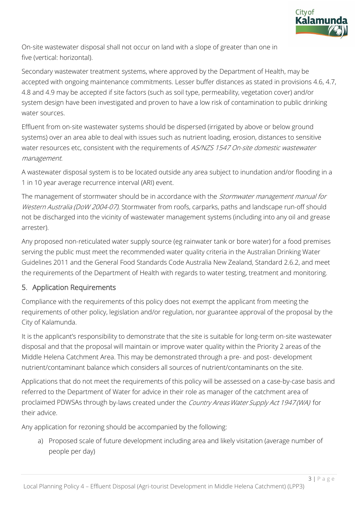

On-site wastewater disposal shall not occur on land with a slope of greater than one in five (vertical: horizontal).

Secondary wastewater treatment systems, where approved by the Department of Health, may be accepted with ongoing maintenance commitments. Lesser buffer distances as stated in provisions 4.6, 4.7, 4.8 and 4.9 may be accepted if site factors (such as soil type, permeability, vegetation cover) and/or system design have been investigated and proven to have a low risk of contamination to public drinking water sources.

Effluent from on-site wastewater systems should be dispersed (irrigated by above or below ground systems) over an area able to deal with issues such as nutrient loading, erosion, distances to sensitive water resources etc, consistent with the requirements of AS/NZS 1547 On-site domestic wastewater management.

A wastewater disposal system is to be located outside any area subject to inundation and/or flooding in a 1 in 10 year average recurrence interval (ARI) event.

The management of stormwater should be in accordance with the Stormwater management manual for Western Australia (DoW 2004-07). Stormwater from roofs, carparks, paths and landscape run-off should not be discharged into the vicinity of wastewater management systems (including into any oil and grease arrester).

Any proposed non-reticulated water supply source (eg rainwater tank or bore water) for a food premises serving the public must meet the recommended water quality criteria in the Australian Drinking Water Guidelines 2011 and the General Food Standards Code Australia New Zealand, Standard 2.6.2, and meet the requirements of the Department of Health with regards to water testing, treatment and monitoring.

## 5. Application Requirements

Compliance with the requirements of this policy does not exempt the applicant from meeting the requirements of other policy, legislation and/or regulation, nor guarantee approval of the proposal by the City of Kalamunda.

It is the applicant's responsibility to demonstrate that the site is suitable for long-term on-site wastewater disposal and that the proposal will maintain or improve water quality within the Priority 2 areas of the Middle Helena Catchment Area. This may be demonstrated through a pre- and post- development nutrient/contaminant balance which considers all sources of nutrient/contaminants on the site.

Applications that do not meet the requirements of this policy will be assessed on a case-by-case basis and referred to the Department of Water for advice in their role as manager of the catchment area of proclaimed PDWSAs through by-laws created under the Country Areas Water Supply Act 1947 (WA) for their advice.

Any application for rezoning should be accompanied by the following:

a) Proposed scale of future development including area and likely visitation (average number of people per day)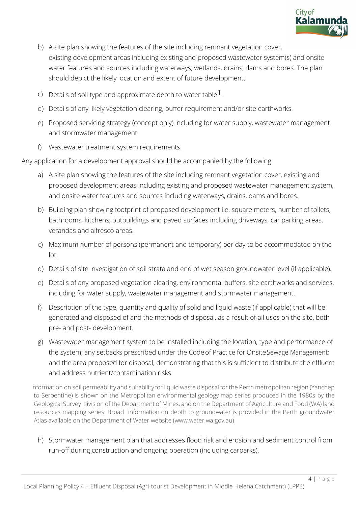

- b) A site plan showing the features of the site including remnant vegetation cover, existing development areas including existing and proposed wastewater system(s) and onsite water features and sources including waterways, wetlands, drains, dams and bores. The plan should depict the likely location and extent of future development.
- c) Details of soil type and approximate depth to water table  $1$ .
- d) Details of any likely vegetation clearing, buffer requirement and/or site earthworks.
- e) Proposed servicing strategy (concept only) including for water supply, wastewater management and stormwater management.
- f) Wastewater treatment system requirements.

Any application for a development approval should be accompanied by the following:

- a) A site plan showing the features of the site including remnant vegetation cover, existing and proposed development areas including existing and proposed wastewater management system, and onsite water features and sources including waterways, drains, dams and bores.
- b) Building plan showing footprint of proposed development i.e. square meters, number of toilets, bathrooms, kitchens, outbuildings and paved surfaces including driveways, car parking areas, verandas and alfresco areas.
- c) Maximum number of persons (permanent and temporary) per day to be accommodated on the lot.
- d) Details of site investigation of soil strata and end of wet season groundwater level (if applicable).
- e) Details of any proposed vegetation clearing, environmental buffers, site earthworks and services, including for water supply, wastewater management and stormwater management.
- f) Description of the type, quantity and quality of solid and liquid waste (if applicable) that will be generated and disposed of and the methods of disposal, as a result of all uses on the site, both pre- and post- development.
- g) Wastewater management system to be installed including the location, type and performance of the system; any setbacks prescribed under the Code of Practice for Onsite Sewage Management; and the area proposed for disposal, demonstrating that this is sufficient to distribute the effluent and address nutrient/contamination risks.

Information on soil permeability and suitability for liquid waste disposal for the Perth metropolitan region (Yanchep to Serpentine) is shown on the Metropolitan environmental geology map series produced in the 1980s by the Geological Survey division of the Department of Mines, and on the Department of Agriculture and Food (WA) land resources mapping series. Broad information on depth to groundwater is provided in the Perth groundwater Atlas available on the Department of Water website [\(www.water.wa.gov.au\)](http://www.water.wa.gov.au/)

h) Stormwater management plan that addresses flood risk and erosion and sediment control from run-off during construction and ongoing operation (including carparks).